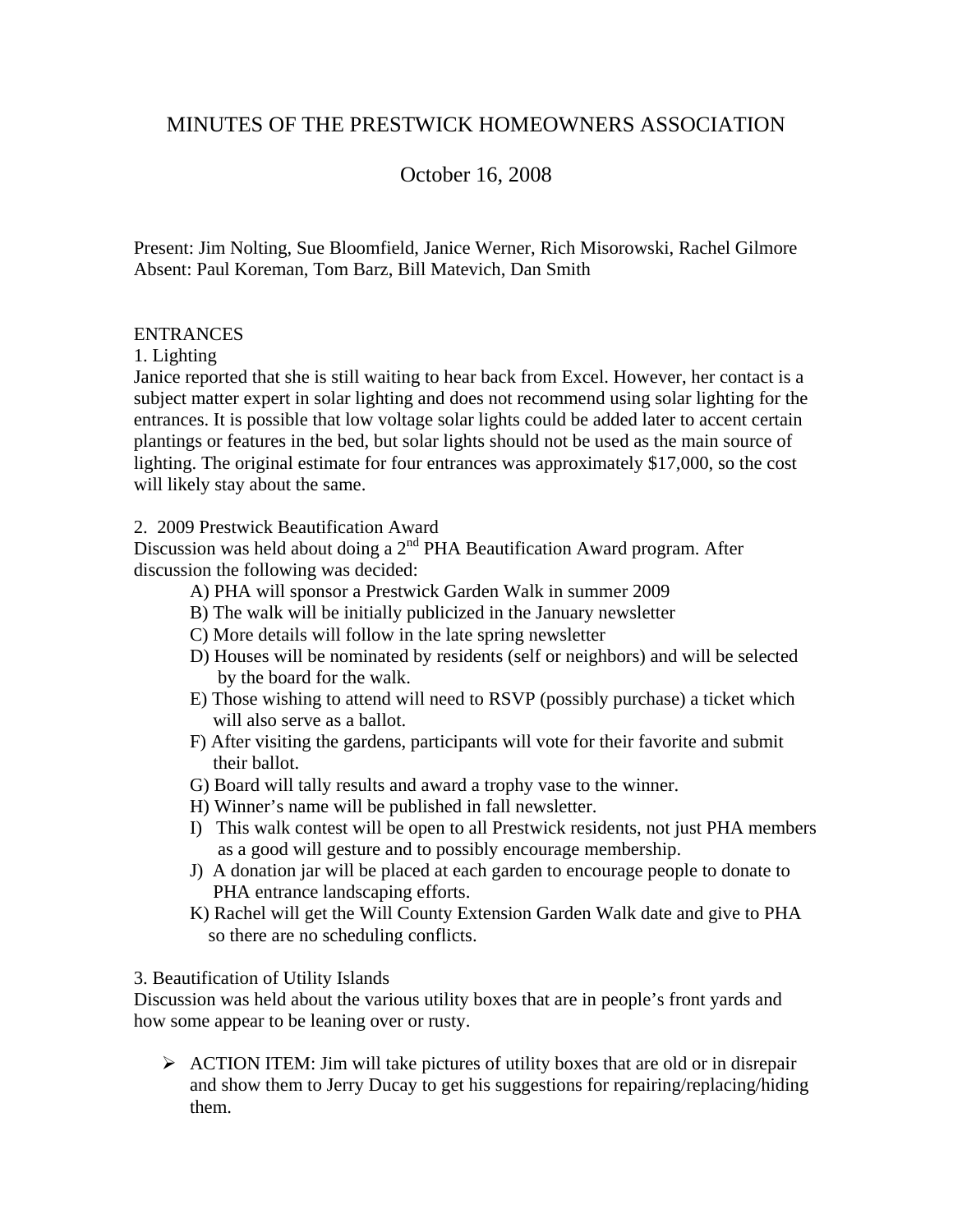# MINUTES OF THE PRESTWICK HOMEOWNERS ASSOCIATION

# October 16, 2008

Present: Jim Nolting, Sue Bloomfield, Janice Werner, Rich Misorowski, Rachel Gilmore Absent: Paul Koreman, Tom Barz, Bill Matevich, Dan Smith

### ENTRANCES

1. Lighting

Janice reported that she is still waiting to hear back from Excel. However, her contact is a subject matter expert in solar lighting and does not recommend using solar lighting for the entrances. It is possible that low voltage solar lights could be added later to accent certain plantings or features in the bed, but solar lights should not be used as the main source of lighting. The original estimate for four entrances was approximately \$17,000, so the cost will likely stay about the same.

2. 2009 Prestwick Beautification Award

Discussion was held about doing a  $2<sup>nd</sup> PHA$  Beautification Award program. After discussion the following was decided:

- A) PHA will sponsor a Prestwick Garden Walk in summer 2009
- B) The walk will be initially publicized in the January newsletter
- C) More details will follow in the late spring newsletter
- D) Houses will be nominated by residents (self or neighbors) and will be selected by the board for the walk.
- E) Those wishing to attend will need to RSVP (possibly purchase) a ticket which will also serve as a ballot.
- F) After visiting the gardens, participants will vote for their favorite and submit their ballot.
- G) Board will tally results and award a trophy vase to the winner.
- H) Winner's name will be published in fall newsletter.
- I) This walk contest will be open to all Prestwick residents, not just PHA members as a good will gesture and to possibly encourage membership.
- J) A donation jar will be placed at each garden to encourage people to donate to PHA entrance landscaping efforts.
- K) Rachel will get the Will County Extension Garden Walk date and give to PHA so there are no scheduling conflicts.

#### 3. Beautification of Utility Islands

Discussion was held about the various utility boxes that are in people's front yards and how some appear to be leaning over or rusty.

¾ ACTION ITEM: Jim will take pictures of utility boxes that are old or in disrepair and show them to Jerry Ducay to get his suggestions for repairing/replacing/hiding them.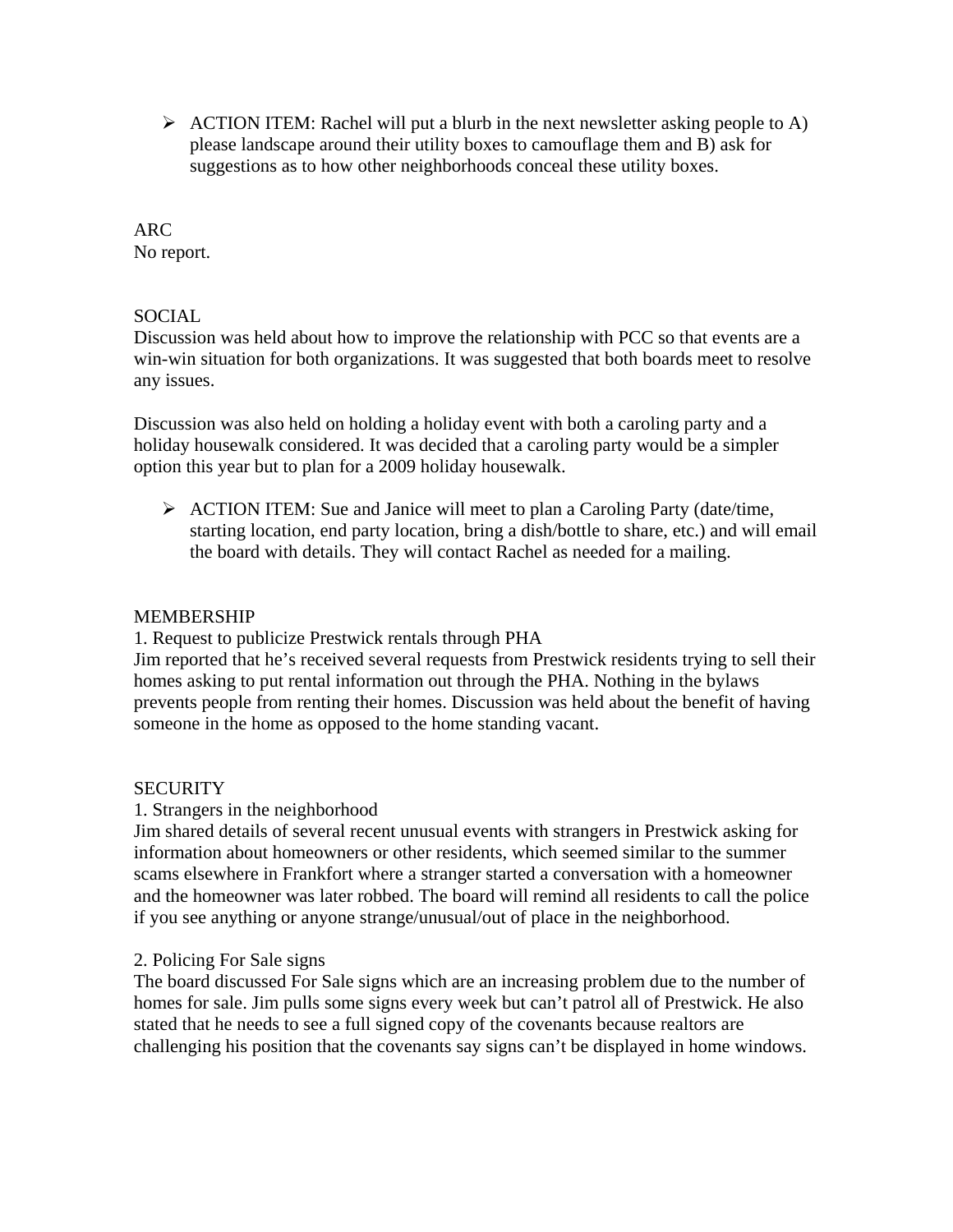$\triangleright$  ACTION ITEM: Rachel will put a blurb in the next newsletter asking people to A) please landscape around their utility boxes to camouflage them and B) ask for suggestions as to how other neighborhoods conceal these utility boxes.

# ARC

No report.

# **SOCIAL**

Discussion was held about how to improve the relationship with PCC so that events are a win-win situation for both organizations. It was suggested that both boards meet to resolve any issues.

Discussion was also held on holding a holiday event with both a caroling party and a holiday housewalk considered. It was decided that a caroling party would be a simpler option this year but to plan for a 2009 holiday housewalk.

¾ ACTION ITEM: Sue and Janice will meet to plan a Caroling Party (date/time, starting location, end party location, bring a dish/bottle to share, etc.) and will email the board with details. They will contact Rachel as needed for a mailing.

# MEMBERSHIP

1. Request to publicize Prestwick rentals through PHA

Jim reported that he's received several requests from Prestwick residents trying to sell their homes asking to put rental information out through the PHA. Nothing in the bylaws prevents people from renting their homes. Discussion was held about the benefit of having someone in the home as opposed to the home standing vacant.

# **SECURITY**

# 1. Strangers in the neighborhood

Jim shared details of several recent unusual events with strangers in Prestwick asking for information about homeowners or other residents, which seemed similar to the summer scams elsewhere in Frankfort where a stranger started a conversation with a homeowner and the homeowner was later robbed. The board will remind all residents to call the police if you see anything or anyone strange/unusual/out of place in the neighborhood.

# 2. Policing For Sale signs

The board discussed For Sale signs which are an increasing problem due to the number of homes for sale. Jim pulls some signs every week but can't patrol all of Prestwick. He also stated that he needs to see a full signed copy of the covenants because realtors are challenging his position that the covenants say signs can't be displayed in home windows.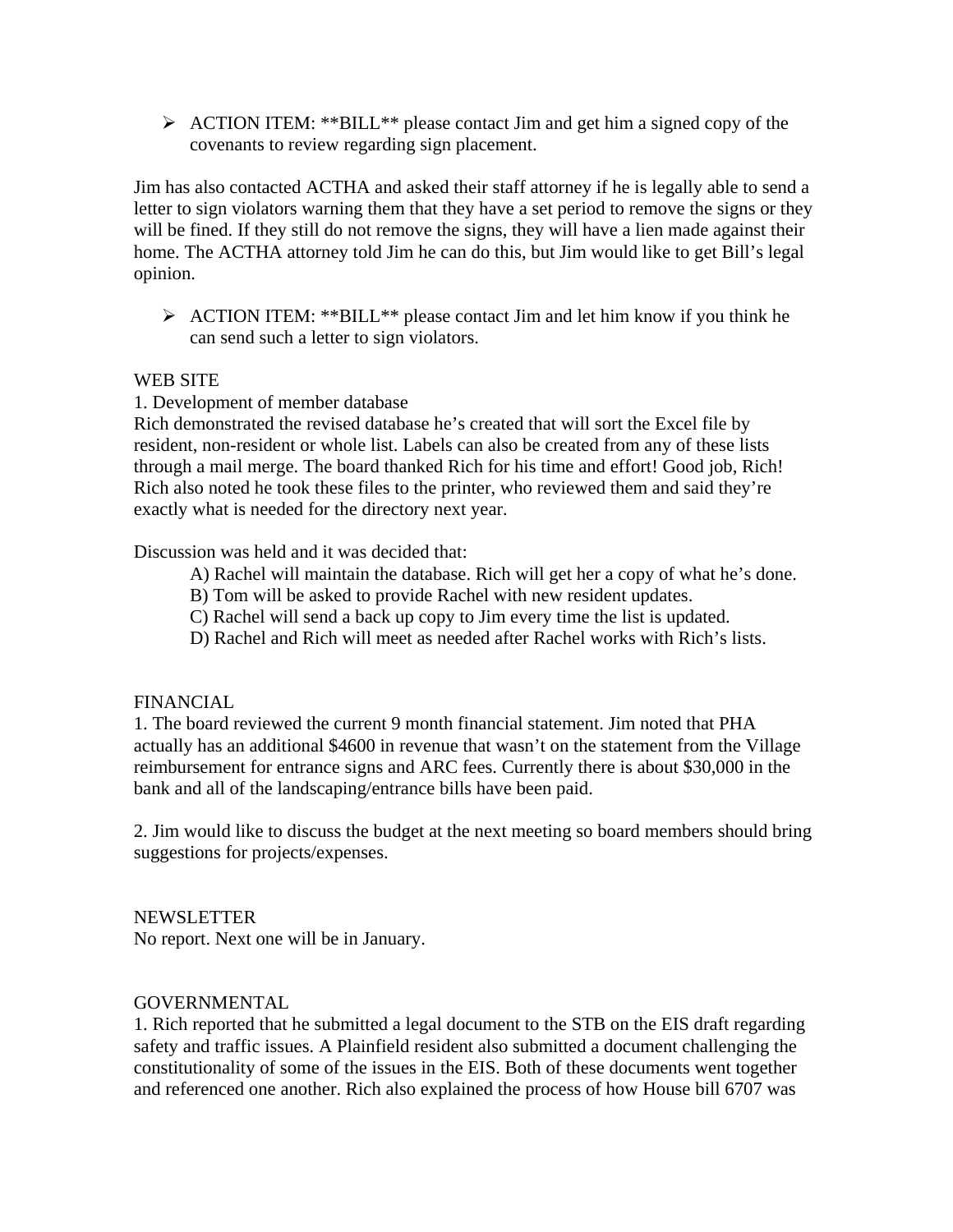¾ ACTION ITEM: \*\*BILL\*\* please contact Jim and get him a signed copy of the covenants to review regarding sign placement.

Jim has also contacted ACTHA and asked their staff attorney if he is legally able to send a letter to sign violators warning them that they have a set period to remove the signs or they will be fined. If they still do not remove the signs, they will have a lien made against their home. The ACTHA attorney told Jim he can do this, but Jim would like to get Bill's legal opinion.

¾ ACTION ITEM: \*\*BILL\*\* please contact Jim and let him know if you think he can send such a letter to sign violators.

### WEB SITE

### 1. Development of member database

Rich demonstrated the revised database he's created that will sort the Excel file by resident, non-resident or whole list. Labels can also be created from any of these lists through a mail merge. The board thanked Rich for his time and effort! Good job, Rich! Rich also noted he took these files to the printer, who reviewed them and said they're exactly what is needed for the directory next year.

Discussion was held and it was decided that:

- A) Rachel will maintain the database. Rich will get her a copy of what he's done.
- B) Tom will be asked to provide Rachel with new resident updates.
- C) Rachel will send a back up copy to Jim every time the list is updated.
- D) Rachel and Rich will meet as needed after Rachel works with Rich's lists.

### FINANCIAL

1. The board reviewed the current 9 month financial statement. Jim noted that PHA actually has an additional \$4600 in revenue that wasn't on the statement from the Village reimbursement for entrance signs and ARC fees. Currently there is about \$30,000 in the bank and all of the landscaping/entrance bills have been paid.

2. Jim would like to discuss the budget at the next meeting so board members should bring suggestions for projects/expenses.

### NEWSLETTER

No report. Next one will be in January.

### GOVERNMENTAL

1. Rich reported that he submitted a legal document to the STB on the EIS draft regarding safety and traffic issues. A Plainfield resident also submitted a document challenging the constitutionality of some of the issues in the EIS. Both of these documents went together and referenced one another. Rich also explained the process of how House bill 6707 was